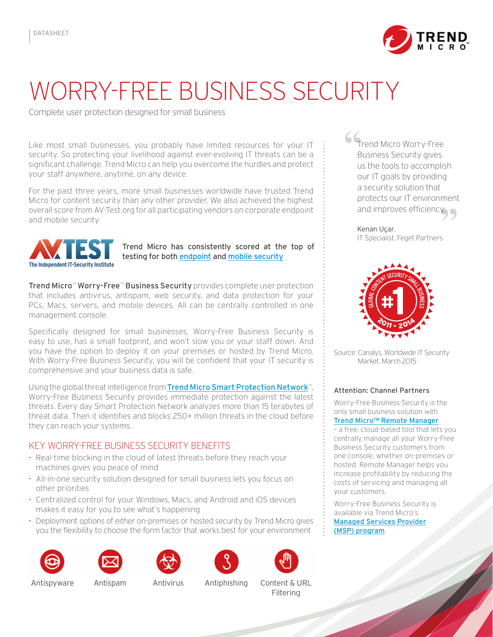

## Worry-Free Business Security

Complete user protection designed for small business

Like most small businesses, you probably have limited resources for your IT security. So protecting your livelihood against ever-evolving IT threats can be a significant challenge. Trend Micro can help you overcome the hurdles and protect your staff anywhere, anytime, on any device.

For the past three years, more small businesses worldwide have trusted Trend Micro for content security than any other provider. We also achieved the highest overall score from AV-Test.org for all participating vendors on corporate endpoint and mobile security.



Trend Micro has consistently scored at the top of testing for both [endpoint](http://cloudsecurity.trendmicro.com/us/technology-innovation/our-technology/competitive-benchmarks/index.html) and [mobile security](http://cloudsecurity.trendmicro.com/us/technology-innovation/our-technology/competitive-benchmarks/index.html%23mobile-security)

Trend Micro™ Worry-Free™ Business Security provides complete user protection that includes antivirus, antispam, web security, and data protection for your PCs, Macs, servers, and mobile devices. All can be centrally controlled in one management console.

Specifically designed for small businesses, Worry-Free Business Security is easy to use, has a small footprint, and won't slow you or your staff down. And you have the option to deploy it on your premises or hosted by Trend Micro. With Worry-Free Business Security, you will be confident that your IT security is comprehensive and your business data is safe.

Using the global threat intelligence from [Trend Micro Smart Protection Network](http://cloudsecurity.trendmicro.com/us/technology-innovation/our-technology/smart-protection-network/index.html)<sup>™</sup>, Worry-Free Business Security provides immediate protection against the latest threats. Every day Smart Protection Network analyzes more than 15 terabytes of threat data. Then it identifies and blocks 250+ million threats in the cloud before they can reach your systems.

Key Worry-Free Business Security Benefits

- 
- 
- 
- 











**"** Trend Micro Worry-Free [Business Security gives](http://cloudsecurity.trendmicro.com/cloud-content/us/pdfs/business/case-studies/cs_wfbss-success-alliant_systems-aug2013-us.pdf)  [us the tools to accomplish](http://cloudsecurity.trendmicro.com/cloud-content/us/pdfs/business/case-studies/cs_wfbss-success-alliant_systems-aug2013-us.pdf)  [our IT goals by providing](http://cloudsecurity.trendmicro.com/cloud-content/us/pdfs/business/case-studies/cs_wfbss-success-alliant_systems-aug2013-us.pdf)  [a security solution that](http://cloudsecurity.trendmicro.com/cloud-content/us/pdfs/business/case-studies/cs_wfbss-success-alliant_systems-aug2013-us.pdf)  [protects our IT environment](http://cloudsecurity.trendmicro.com/cloud-content/us/pdfs/business/case-studies/cs_wfbss-success-alliant_systems-aug2013-us.pdf)

and improves efficiency.<br>**"**<br>**Kenan Uçar,<br>IT Specialist, Feget Partners!"** [Kenan Uçar](http://cloudsecurity.trendmicro.com/cloud-content/us/pdfs/business/case-studies/cs_wfbss-success-alliant_systems-aug2013-us.pdf), IT Specialist, Feget Partners



Source: Canalys, Worldwide IT Security Market, March 2015

## Attention: Channel Partners

Worry-Free Business Security is the only small business solution with [Trend Micro™ Remote Manager](http://www.trendmicro.com/us/partners/remote-manager/index.html) – a free, cloud-based tool that lets you centrally manage all your Worry-Free

Business Security customers from